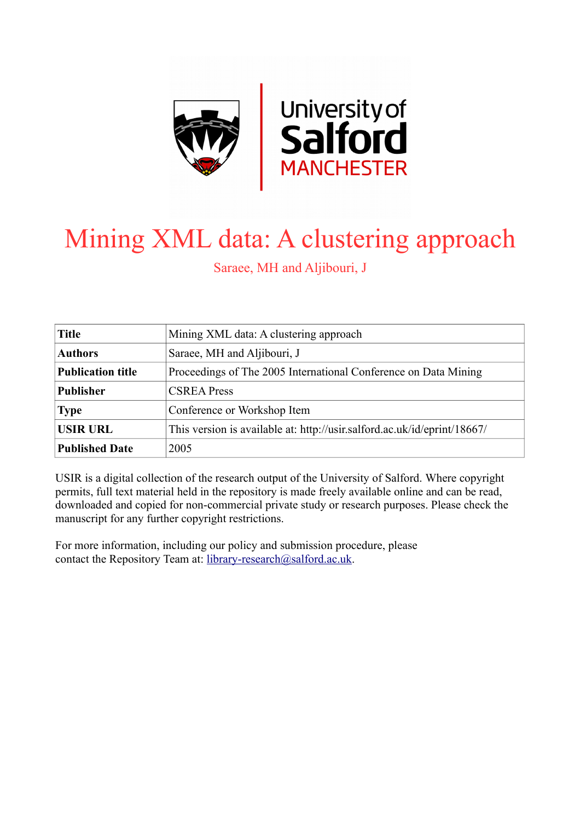

# Mining XML data: A clustering approach

Saraee, MH and Aljibouri, J

| <b>Title</b>             | Mining XML data: A clustering approach                                   |  |
|--------------------------|--------------------------------------------------------------------------|--|
| <b>Authors</b>           | Saraee, MH and Aljibouri, J                                              |  |
| <b>Publication title</b> | Proceedings of The 2005 International Conference on Data Mining          |  |
| <b>Publisher</b>         | <b>CSREA Press</b>                                                       |  |
| <b>Type</b>              | Conference or Workshop Item                                              |  |
| <b>USIR URL</b>          | This version is available at: http://usir.salford.ac.uk/id/eprint/18667/ |  |
| <b>Published Date</b>    | 2005                                                                     |  |

USIR is a digital collection of the research output of the University of Salford. Where copyright permits, full text material held in the repository is made freely available online and can be read, downloaded and copied for non-commercial private study or research purposes. Please check the manuscript for any further copyright restrictions.

For more information, including our policy and submission procedure, please contact the Repository Team at: [library-research@salford.ac.uk.](mailto:library-research@salford.ac.uk)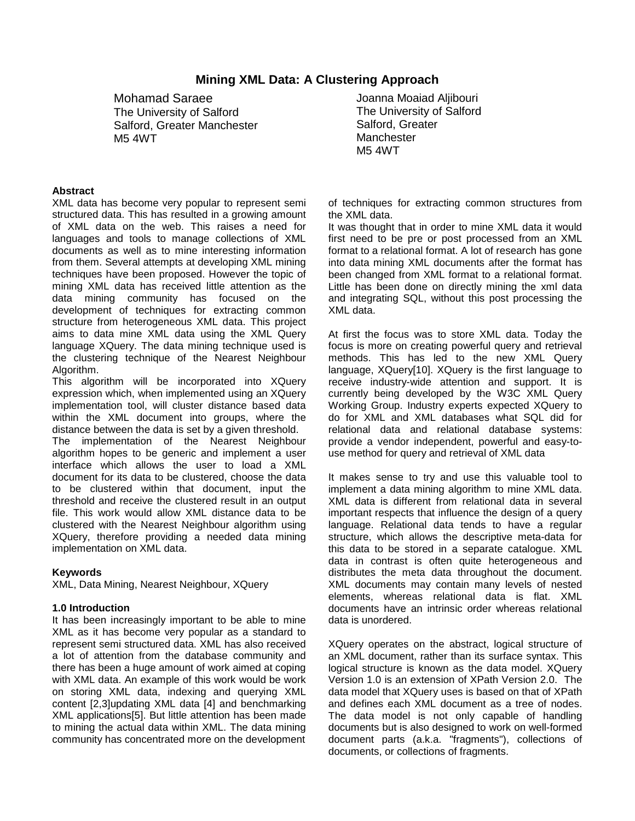## **Mining XML Data: A Clustering Approach**

Mohamad Saraee The University of Salford Salford, Greater Manchester M5 4WT

#### **Abstract**

XML data has become very popular to represent semi structured data. This has resulted in a growing amount of XML data on the web. This raises a need for languages and tools to manage collections of XML documents as well as to mine interesting information from them. Several attempts at developing XML mining techniques have been proposed. However the topic of mining XML data has received little attention as the data mining community has focused on the development of techniques for extracting common structure from heterogeneous XML data. This project aims to data mine XML data using the XML Query language XQuery. The data mining technique used is the clustering technique of the Nearest Neighbour Algorithm.

This algorithm will be incorporated into XQuery expression which, when implemented using an XQuery implementation tool, will cluster distance based data within the XML document into groups, where the distance between the data is set by a given threshold.

The implementation of the Nearest Neighbour algorithm hopes to be generic and implement a user interface which allows the user to load a XML document for its data to be clustered, choose the data to be clustered within that document, input the threshold and receive the clustered result in an output file. This work would allow XML distance data to be clustered with the Nearest Neighbour algorithm using XQuery, therefore providing a needed data mining implementation on XML data.

## **Keywords**

XML, Data Mining, Nearest Neighbour, XQuery

#### **1.0 Introduction**

It has been increasingly important to be able to mine XML as it has become very popular as a standard to represent semi structured data. XML has also received a lot of attention from the database community and there has been a huge amount of work aimed at coping with XML data. An example of this work would be work on storing XML data, indexing and querying XML content [2,3]updating XML data [4] and benchmarking XML applications[5]. But little attention has been made to mining the actual data within XML. The data mining community has concentrated more on the development

Joanna Moaiad Aljibouri The University of Salford Salford, Greater **Manchester** M5 4WT

of techniques for extracting common structures from the XML data.

It was thought that in order to mine XML data it would first need to be pre or post processed from an XML format to a relational format. A lot of research has gone into data mining XML documents after the format has been changed from XML format to a relational format. Little has been done on directly mining the xml data and integrating SQL, without this post processing the XML data.

At first the focus was to store XML data. Today the focus is more on creating powerful query and retrieval methods. This has led to the new XML Query language, XQuery[10]. XQuery is the first language to receive industry-wide attention and support. It is currently being developed by the W3C XML Query Working Group. Industry experts expected XQuery to do for XML and XML databases what SQL did for relational data and relational database systems: provide a vendor independent, powerful and easy-touse method for query and retrieval of XML data

It makes sense to try and use this valuable tool to implement a data mining algorithm to mine XML data. XML data is different from relational data in several important respects that influence the design of a query language. Relational data tends to have a regular structure, which allows the descriptive meta-data for this data to be stored in a separate catalogue. XML data in contrast is often quite heterogeneous and distributes the meta data throughout the document. XML documents may contain many levels of nested elements, whereas relational data is flat. XML documents have an intrinsic order whereas relational data is unordered.

XQuery operates on the abstract, logical structure of an XML document, rather than its surface syntax. This logical structure is known as the data model. XQuery Version 1.0 is an extension of XPath Version 2.0. The data model that XQuery uses is based on that of XPath and defines each XML document as a tree of nodes. The data model is not only capable of handling documents but is also designed to work on well-formed document parts (a.k.a. "fragments"), collections of documents, or collections of fragments.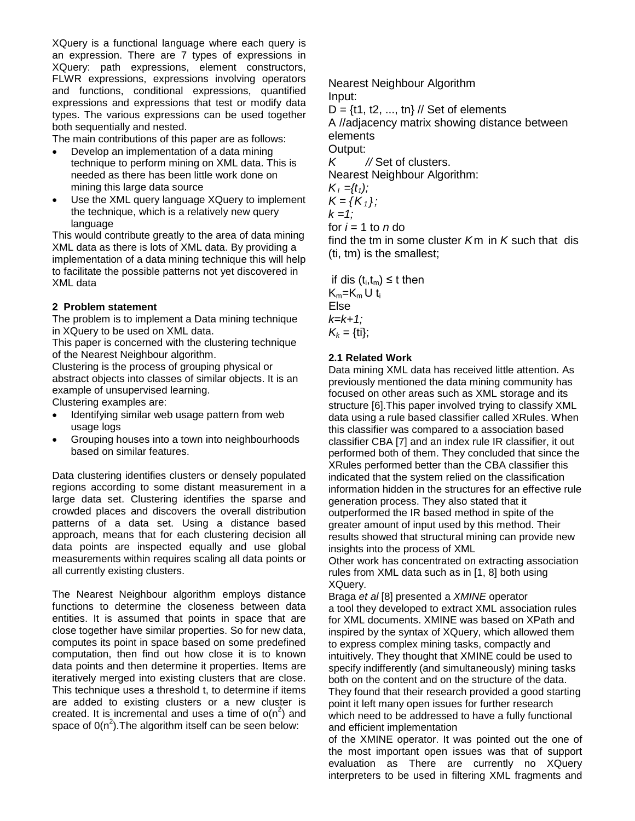XQuery is a functional language where each query is an expression. There are 7 types of expressions in XQuery: path expressions, element constructors, FLWR expressions, expressions involving operators and functions, conditional expressions, quantified expressions and expressions that test or modify data types. The various expressions can be used together both sequentially and nested.

The main contributions of this paper are as follows:

- Develop an implementation of a data mining technique to perform mining on XML data. This is needed as there has been little work done on mining this large data source
- Use the XML query language XQuery to implement the technique, which is a relatively new query language

This would contribute greatly to the area of data mining XML data as there is lots of XML data. By providing a implementation of a data mining technique this will help to facilitate the possible patterns not yet discovered in XML data

## **2 Problem statement**

The problem is to implement a Data mining technique in XQuery to be used on XML data.

This paper is concerned with the clustering technique of the Nearest Neighbour algorithm.

Clustering is the process of grouping physical or abstract objects into classes of similar objects. It is an example of unsupervised learning.

Clustering examples are:

- Identifying similar web usage pattern from web usage logs
- Grouping houses into a town into neighbourhoods based on similar features.

Data clustering identifies clusters or densely populated regions according to some distant measurement in a large data set. Clustering identifies the sparse and crowded places and discovers the overall distribution patterns of a data set. Using a distance based approach, means that for each clustering decision all data points are inspected equally and use global measurements within requires scaling all data points or all currently existing clusters.

The Nearest Neighbour algorithm employs distance functions to determine the closeness between data entities. It is assumed that points in space that are close together have similar properties. So for new data, computes its point in space based on some predefined computation, then find out how close it is to known data points and then determine it properties. Items are iteratively merged into existing clusters that are close. This technique uses a threshold t, to determine if items are added to existing clusters or a new cluster is created. It is incremental and uses a time of  $o(n^2)$  and space of  $O(n^2)$ . The algorithm itself can be seen below:

Nearest Neighbour Algorithm Input:

 $D = \{t1, t2, ..., t n\}$  // Set of elements

A //adjacency matrix showing distance between elements

Output:

*K //* Set of clusters.

Nearest Neighbour Algorithm:

$$
K_1=\{t_1\}
$$

 $K = \{K_1\}$ ;

*k =1;*

for  $i = 1$  to  $n$  do

find the tm in some cluster *K*m in *K* such that dis (ti, tm) is the smallest;

if dis  $(t_i,t_m) \leq t$  then  $K_m=K_m U t_i$ Else *k=k+1;*  $K_k = \{ \text{ti} \};$ 

## **2.1 Related Work**

Data mining XML data has received little attention. As previously mentioned the data mining community has focused on other areas such as XML storage and its structure [6].This paper involved trying to classify XML data using a rule based classifier called XRules. When this classifier was compared to a association based classifier CBA [7] and an index rule IR classifier, it out performed both of them. They concluded that since the XRules performed better than the CBA classifier this indicated that the system relied on the classification information hidden in the structures for an effective rule generation process. They also stated that it outperformed the IR based method in spite of the greater amount of input used by this method. Their results showed that structural mining can provide new insights into the process of XML

Other work has concentrated on extracting association rules from XML data such as in [1, 8] both using XQuery.

Braga *et al* [8] presented a *XMINE* operator a tool they developed to extract XML association rules for XML documents. XMINE was based on XPath and inspired by the syntax of XQuery, which allowed them to express complex mining tasks, compactly and intuitively. They thought that XMINE could be used to specify indifferently (and simultaneously) mining tasks both on the content and on the structure of the data. They found that their research provided a good starting point it left many open issues for further research which need to be addressed to have a fully functional and efficient implementation

of the XMINE operator. It was pointed out the one of the most important open issues was that of support evaluation as There are currently no XQuery interpreters to be used in filtering XML fragments and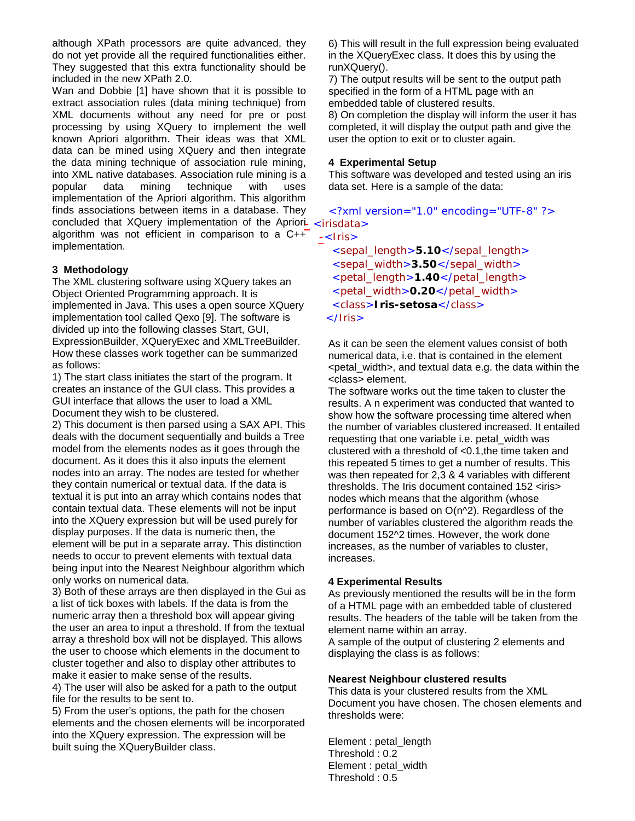although XPath processors are quite advanced, they do not yet provide all the required functionalities either. They suggested that this extra functionality should be included in the new XPath 2.0.

Wan and Dobbie [1] have shown that it is possible to extract association rules (data mining technique) from XML documents without any need for pre or post processing by using XQuery to implement the well known Apriori algorithm. Their ideas was that XML data can be mined using XQuery and then integrate the data mining technique of association rule mining, into XML native databases. Association rule mining is a popular data mining technique with uses implementation of the Apriori algorithm. This algorithm finds associations between items in a database. They concluded that XQuery implementation of the Apriori- <irisdata> algorithm was not efficient in comparison to a  $C++$ implementation.

## **3 Methodology**

The XML clustering software using XQuery takes an Object Oriented Programming approach. It is implemented in Java. This uses a open source XQuery implementation tool called Qexo [9]. The software is divided up into the following classes Start, GUI, ExpressionBuilder, XQueryExec and XMLTreeBuilder. How these classes work together can be summarized as follows:

1) The start class initiates the start of the program. It creates an instance of the GUI class. This provides a GUI interface that allows the user to load a XML Document they wish to be clustered.

2) This document is then parsed using a SAX API. This deals with the document sequentially and builds a Tree model from the elements nodes as it goes through the document. As it does this it also inputs the element nodes into an array. The nodes are tested for whether they contain numerical or textual data. If the data is textual it is put into an array which contains nodes that contain textual data. These elements will not be input into the XQuery expression but will be used purely for display purposes. If the data is numeric then, the element will be put in a separate array. This distinction needs to occur to prevent elements with textual data being input into the Nearest Neighbour algorithm which only works on numerical data.

3) Both of these arrays are then displayed in the Gui as a list of tick boxes with labels. If the data is from the numeric array then a threshold box will appear giving the user an area to input a threshold. If from the textual array a threshold box will not be displayed. This allows the user to choose which elements in the document to cluster together and also to display other attributes to make it easier to make sense of the results.

4) The user will also be asked for a path to the output file for the results to be sent to.

5) From the user's options, the path for the chosen elements and the chosen elements will be incorporated into the XQuery expression. The expression will be built suing the XQueryBuilder class.

6) This will result in the full expression being evaluated in the XQueryExec class. It does this by using the runXQuery().

7) The output results will be sent to the output path specified in the form of a HTML page with an embedded table of clustered results.

8) On completion the display will inform the user it has completed, it will display the output path and give the user the option to exit or to cluster again.

## **4 Experimental Setup**

This software was developed and tested using an iris data set. Here is a sample of the data:

<?xml version="1.0" encoding="UTF-8" ?>

**-**<Iris>

<sepal\_length>**5.10**</sepal\_length> <sepal\_width>3.50</sepal\_width> <petal\_length>**1.40**</petal\_length> <petal\_width>**0.20**</petal\_width> <class>**Iris-setosa**</class> </Iris>

As it can be seen the element values consist of both numerical data, i.e. that is contained in the element <petal\_width>, and textual data e.g. the data within the <class> element.

The software works out the time taken to cluster the results. A n experiment was conducted that wanted to show how the software processing time altered when the number of variables clustered increased. It entailed requesting that one variable i.e. petal\_width was clustered with a threshold of <0.1,the time taken and this repeated 5 times to get a number of results. This was then repeated for 2,3 & 4 variables with different thresholds. The Iris document contained 152 <iris> nodes which means that the algorithm (whose performance is based on O(n^2). Regardless of the number of variables clustered the algorithm reads the document 152^2 times. However, the work done increases, as the number of variables to cluster, increases.

## **4 Experimental Results**

As previously mentioned the results will be in the form of a HTML page with an embedded table of clustered results. The headers of the table will be taken from the element name within an array.

A sample of the output of clustering 2 elements and displaying the class is as follows:

## **Nearest Neighbour clustered results**

This data is your clustered results from the XML Document you have chosen. The chosen elements and thresholds were:

Element : petal\_length Threshold : 0.2 Element : petal\_width Threshold : 0.5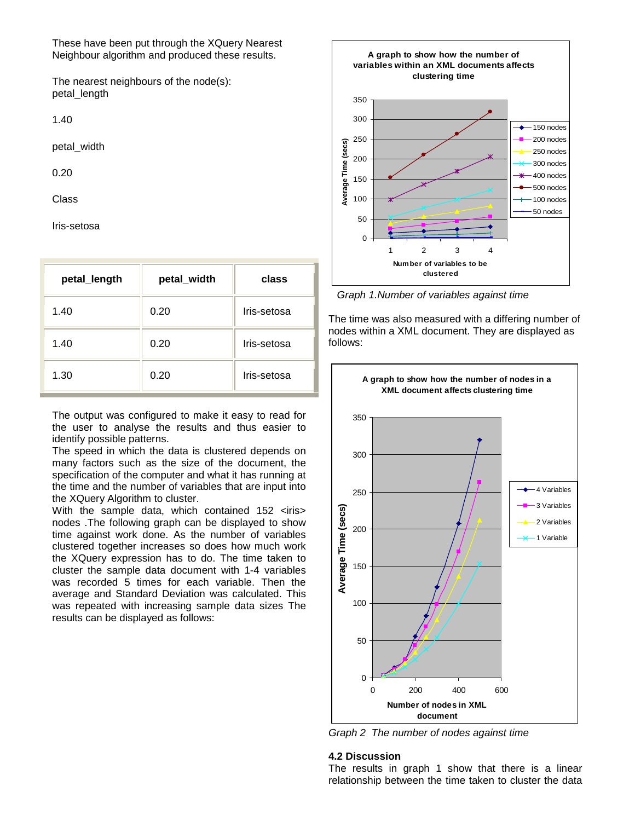These have been put through the XQuery Nearest Neighbour algorithm and produced these results.

The nearest neighbours of the node(s): petal\_length

1.40

petal\_width

0.20

Class

Iris-setosa

| petal_length | petal_width | class       |
|--------------|-------------|-------------|
| 1.40         | 0.20        | Iris-setosa |
| 1.40         | 0.20        | Iris-setosa |
| 1.30         | 0.20        | Iris-setosa |

The output was configured to make it easy to read for the user to analyse the results and thus easier to identify possible patterns.

The speed in which the data is clustered depends on many factors such as the size of the document, the specification of the computer and what it has running at the time and the number of variables that are input into the XQuery Algorithm to cluster.

With the sample data, which contained 152 <iris> nodes .The following graph can be displayed to show time against work done. As the number of variables clustered together increases so does how much work the XQuery expression has to do. The time taken to cluster the sample data document with 1-4 variables was recorded 5 times for each variable. Then the average and Standard Deviation was calculated. This was repeated with increasing sample data sizes The results can be displayed as follows:



*Graph 1.Number of variables against time*

The time was also measured with a differing number of nodes within a XML document. They are displayed as follows:



*Graph 2 The number of nodes against time*

#### **4.2 Discussion**

The results in graph 1 show that there is a linear relationship between the time taken to cluster the data